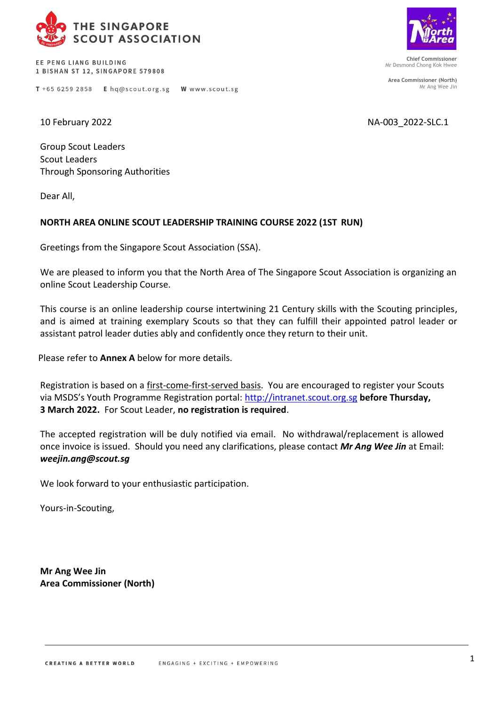

FF PENG LIANG BUILDING 1 BISHAN ST 12, SINGAPORE 579808

T +65 6259 2858 E hq@scout.org.sg W www.scout.sg

10 February 2022 NA-003\_2022-SLC.1

Group Scout Leaders Scout Leaders Through Sponsoring Authorities

Dear All,

## **NORTH AREA ONLINE SCOUT LEADERSHIP TRAINING COURSE 2022 (1ST RUN)**

Greetings from the Singapore Scout Association (SSA).

We are pleased to inform you that the North Area of The Singapore Scout Association is organizing an online Scout Leadership Course.

This course is an online leadership course intertwining 21 Century skills with the Scouting principles, and is aimed at training exemplary Scouts so that they can fulfill their appointed patrol leader or assistant patrol leader duties ably and confidently once they return to their unit.

Please refer to **Annex A** below for more details.

Registration is based on a first-come-first-served basis. You are encouraged to register your Scouts via MSDS's Youth Programme Registration portal: [http://intranet.scout.org.sg](http://intranet.scout.org.sg/) **before Thursday, 3 March 2022.** For Scout Leader, **no registration is required**.

The accepted registration will be duly notified via email. No withdrawal/replacement is allowed once invoice is issued. Should you need any clarifications, please contact *Mr Ang Wee Jin* at Email: *[weejin.ang@scout.sg](mailto:weejin.ang@scout.sg)*

We look forward to your enthusiastic participation.

Yours-in-Scouting,

**Mr Ang Wee Jin Area Commissioner (North)**



**Chief Commissioner** Mr Desmond Chong Kok Hwee

**Area Commissioner (North)** Mr Ang Wee Jin

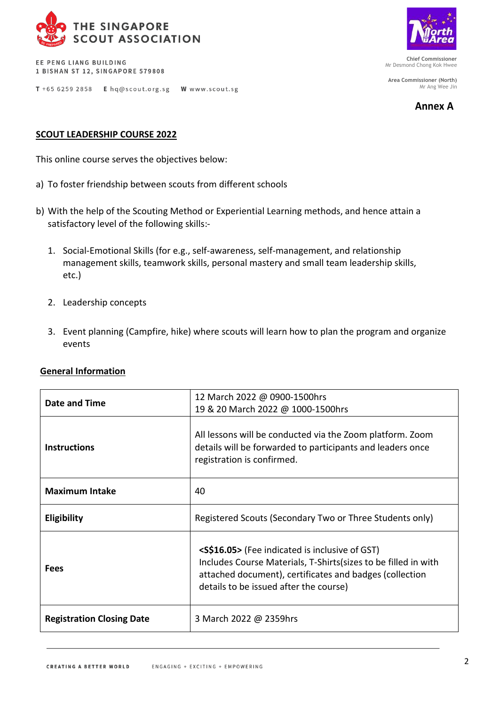

EE PENG LIANG BUILDING 1 BISHAN ST 12, SINGAPORE 579808



**Chief Commissioner** Mr Desmond Chong Kok Hwee

**Area Commissioner (North)** Mr Ang Wee Jin

**Annex A**

T +65 6259 2858 E hq@scout.org.sg W www.scout.sg

## **SCOUT LEADERSHIP COURSE 2022**

This online course serves the objectives below:

- a) To foster friendship between scouts from different schools
- b) With the help of the Scouting Method or Experiential Learning methods, and hence attain a satisfactory level of the following skills:-
	- 1. Social-Emotional Skills (for e.g., self-awareness, self-management, and relationship management skills, teamwork skills, personal mastery and small team leadership skills, etc.)
	- 2. Leadership concepts
	- 3. Event planning (Campfire, hike) where scouts will learn how to plan the program and organize events

| <b>General Information</b> |
|----------------------------|
|                            |

| Date and Time                    | 12 March 2022 @ 0900-1500hrs<br>19 & 20 March 2022 @ 1000-1500hrs                                                                                                                                                                    |  |
|----------------------------------|--------------------------------------------------------------------------------------------------------------------------------------------------------------------------------------------------------------------------------------|--|
| <b>Instructions</b>              | All lessons will be conducted via the Zoom platform. Zoom<br>details will be forwarded to participants and leaders once<br>registration is confirmed.                                                                                |  |
| <b>Maximum Intake</b>            | 40                                                                                                                                                                                                                                   |  |
| <b>Eligibility</b>               | Registered Scouts (Secondary Two or Three Students only)                                                                                                                                                                             |  |
| <b>Fees</b>                      | <s\$16.05> (Fee indicated is inclusive of GST)<br/>Includes Course Materials, T-Shirts (sizes to be filled in with<br/>attached document), certificates and badges (collection<br/>details to be issued after the course)</s\$16.05> |  |
| <b>Registration Closing Date</b> | 3 March 2022 @ 2359hrs                                                                                                                                                                                                               |  |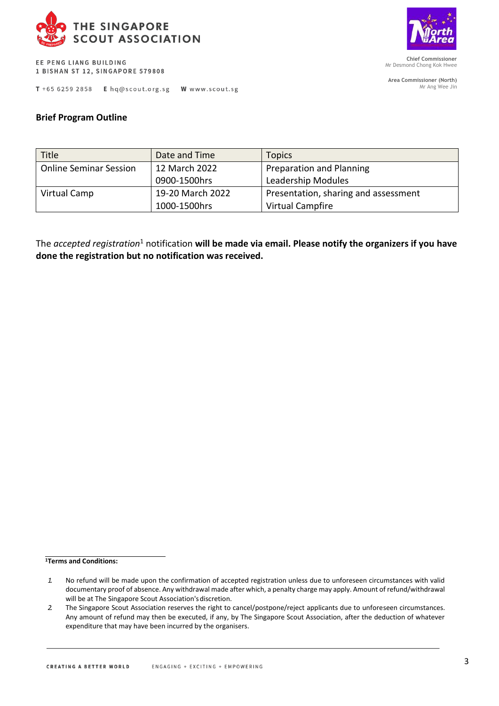

EE PENG LIANG BUILDING 1 BISHAN ST 12, SINGAPORE 579808

T +65 6259 2858 E hq@scout.org.sg W www.scout.sg



**Chief Commissioner** Mr Desmond Chong Kok Hwee

**Area Commissioner (North)** Mr Ang Wee Jin

## **Brief Program Outline**

| <b>Title</b>                  | Date and Time    | <b>Topics</b>                        |
|-------------------------------|------------------|--------------------------------------|
| <b>Online Seminar Session</b> | 12 March 2022    | Preparation and Planning             |
|                               | 0900-1500hrs     | Leadership Modules                   |
| Virtual Camp                  | 19-20 March 2022 | Presentation, sharing and assessment |
|                               | 1000-1500hrs     | Virtual Campfire                     |

The *accepted registration*<sup>1</sup> notification **will be made via email. Please notify the organizers if you have done the registration but no notification was received.**

**<sup>1</sup>Terms and Conditions:**

*<sup>1.</sup>* No refund will be made upon the confirmation of accepted registration unless due to unforeseen circumstances with valid documentary proof of absence. Any withdrawal made after which, a penalty charge may apply. Amount of refund/withdrawal will be at The Singapore Scout Association's discretion.

*<sup>2.</sup>* The Singapore Scout Association reserves the right to cancel/postpone/reject applicants due to unforeseen circumstances. Any amount of refund may then be executed, if any, by The Singapore Scout Association, after the deduction of whatever expenditure that may have been incurred by the organisers.